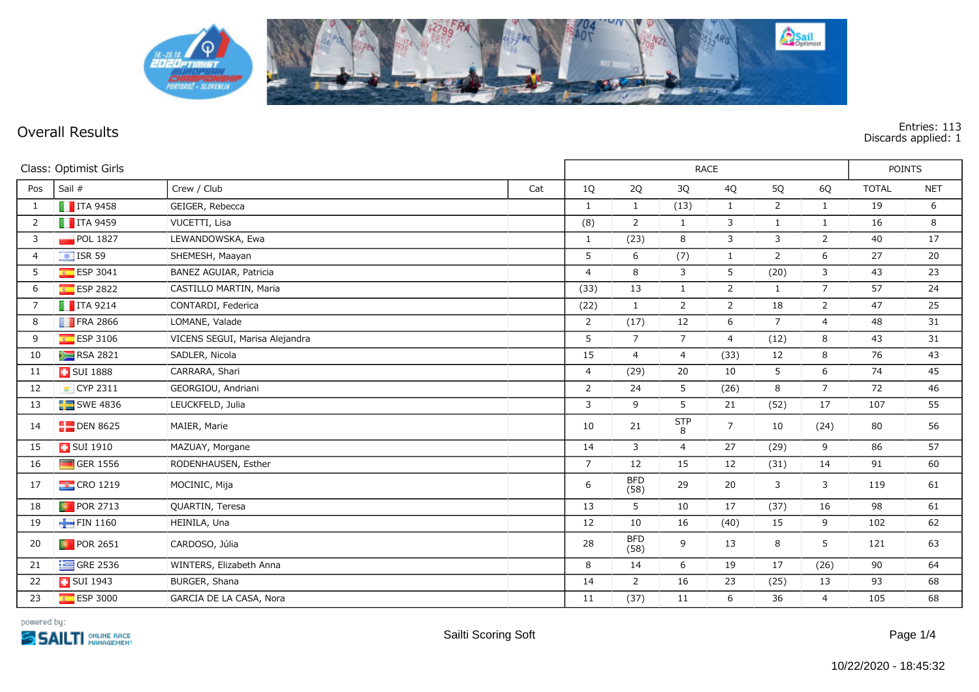

**Overall Results Entries: 113 Discards applied: 1**

| Class: Optimist Girls |                         |                                | RACE |                |                    |                        |                |                | POINTS          |              |            |
|-----------------------|-------------------------|--------------------------------|------|----------------|--------------------|------------------------|----------------|----------------|-----------------|--------------|------------|
| Pos                   | Sail #                  | Crew / Club                    | Cat  | $1Q$           | 2Q                 | 3Q                     | 4Q             | 5Q             | 6Q              | <b>TOTAL</b> | <b>NET</b> |
| $\mathbf{1}$          | $\blacksquare$ ITA 9458 | GEIGER, Rebecca                |      | $\mathbf{1}$   | $\mathbf{1}$       | (13)                   | $\mathbf{1}$   | $\overline{2}$ | $\mathbf{1}$    | 19           | 6          |
| $\overline{2}$        | $\blacksquare$ ITA 9459 | VUCETTI, Lisa                  |      | (8)            | $\overline{2}$     | $\mathbf{1}$           | $\mathbf{3}$   | $\mathbf{1}$   | $\mathbf{1}$    | 16           | 8          |
| 3                     | POL 1827                | LEWANDOWSKA, Ewa               |      | $\mathbf{1}$   | (23)               | 8                      | $\mathbf{3}$   | 3              | $\overline{2}$  | $40\,$       | 17         |
| 4                     | $\boxed{\div}$ ISR 59   | SHEMESH, Maayan                |      | 5              | 6                  | (7)                    | $\mathbf{1}$   | 2              | 6               | 27           | 20         |
| 5                     | $E = ESP 3041$          | BAÑEZ AGUIAR, Patricia         |      | $\overline{4}$ | 8                  | 3                      | 5              | (20)           | 3               | 43           | 23         |
| 6                     | <b>ESP 2822</b>         | CASTILLO MARTIN, Maria         |      | (33)           | 13                 | $\mathbf{1}$           | $\overline{2}$ | $\mathbf{1}$   | $7\overline{ }$ | 57           | 24         |
| $\overline{7}$        | $\blacksquare$ ITA 9214 | CONTARDI, Federica             |      | (22)           | $\mathbf{1}$       | $\overline{2}$         | $\overline{2}$ | 18             | $\overline{2}$  | 47           | 25         |
| 8                     | $\blacksquare$ FRA 2866 | LOMANE, Valade                 |      | 2              | (17)               | 12                     | 6              | $\overline{7}$ | $\overline{4}$  | 48           | 31         |
| 9                     | $E$ ESP 3106            | VICENS SEGUI, Marisa Alejandra |      | 5              | $\overline{7}$     | $\overline{7}$         | $\overline{4}$ | (12)           | 8               | 43           | 31         |
| 10                    | <b>RSA 2821</b>         | SADLER, Nicola                 |      | 15             | $\overline{4}$     | $\overline{4}$         | (33)           | 12             | 8               | 76           | 43         |
| 11                    | <b>B</b> SUI 1888       | CARRARA, Shari                 |      | $\overline{4}$ | (29)               | 20                     | 10             | 5              | 6               | 74           | 45         |
| 12                    | CYP 2311                | GEORGIOU, Andriani             |      | $\overline{2}$ | 24                 | 5                      | (26)           | 8              | $7\overline{ }$ | 72           | 46         |
| 13                    | $SWE$ 4836              | LEUCKFELD, Julia               |      | 3              | 9                  | 5                      | 21             | (52)           | 17              | 107          | 55         |
| 14                    | $\Box$ DEN 8625         | MAIER, Marie                   |      | 10             | 21                 | $rac{\mathsf{STP}}{8}$ | $\overline{7}$ | 10             | (24)            | 80           | 56         |
| 15                    | <b>B</b> SUI 1910       | MAZUAY, Morgane                |      | 14             | 3                  | $\overline{4}$         | 27             | (29)           | 9               | 86           | 57         |
| 16                    | $\Box$ GER 1556         | RODENHAUSEN, Esther            |      | $\overline{7}$ | 12                 | 15                     | 12             | (31)           | 14              | 91           | 60         |
| 17                    | <b>EX</b> CRO 1219      | MOCINIC, Mija                  |      | 6              | <b>BFD</b><br>(58) | 29                     | 20             | 3              | 3               | 119          | 61         |
| 18                    | <b>D</b> POR 2713       | QUARTIN, Teresa                |      | 13             | 5                  | 10                     | 17             | (37)           | 16              | 98           | 61         |
| 19                    | FIN 1160                | HEINILÄ, Una                   |      | 12             | 10                 | 16                     | (40)           | 15             | 9               | 102          | 62         |
| 20                    | <b>D</b> POR 2651       | CARDOSO, Júlia                 |      | 28             | <b>BFD</b><br>(58) | 9                      | 13             | 8              | 5               | 121          | 63         |
| 21                    | $\equiv$ GRE 2536       | WINTERS, Elizabeth Anna        |      | 8              | 14                 | 6                      | 19             | 17             | (26)            | 90           | 64         |
| 22                    | <b>B</b> SUI 1943       | BURGER, Shana                  |      | 14             | $\overline{2}$     | 16                     | 23             | (25)           | 13              | 93           | 68         |
| 23                    | ESP 3000                | GARCIA DE LA CASA, Nora        |      | 11             | (37)               | 11                     | 6              | 36             | $\overline{4}$  | 105          | 68         |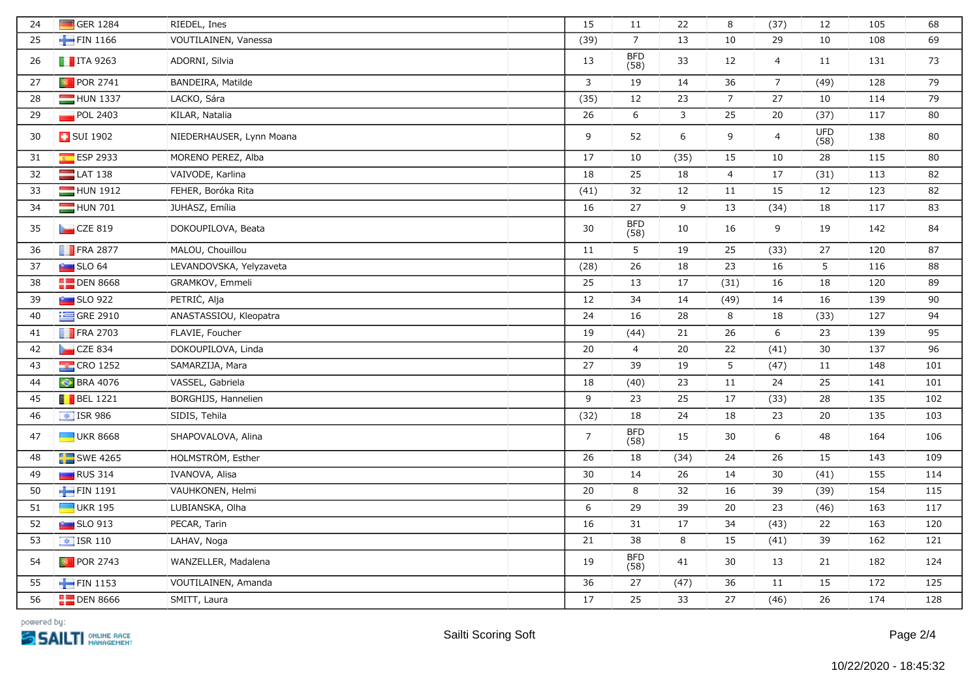| 24 | GER 1284                | RIEDEL, Ines             | 15             | 11                 | 22           | 8               | (37)             | 12                 | 105 | 68  |
|----|-------------------------|--------------------------|----------------|--------------------|--------------|-----------------|------------------|--------------------|-----|-----|
| 25 | FIN 1166                | VOUTILAINEN, Vanessa     | (39)           | $\overline{7}$     | 13           | 10              | 29               | 10                 | 108 | 69  |
| 26 | $\blacksquare$ ITA 9263 | ADORNI, Silvia           | 13             | <b>BFD</b><br>(58) | 33           | 12              | $\overline{4}$   | 11                 | 131 | 73  |
| 27 | <b>D</b> POR 2741       | BANDEIRA, Matilde        | $\mathbf{3}$   | 19                 | 14           | 36              | $\overline{7}$   | (49)               | 128 | 79  |
| 28 | HUN 1337                | LACKO, Sára              | (35)           | 12                 | 23           | $\overline{7}$  | 27               | 10                 | 114 | 79  |
| 29 | POL 2403                | KILAR, Natalia           | 26             | 6                  | $\mathbf{3}$ | 25              | 20               | (37)               | 117 | 80  |
| 30 | <b>B</b> SUI 1902       | NIEDERHAUSER, Lynn Moana | 9              | 52                 | 6            | 9               | $\overline{4}$   | <b>UFD</b><br>(58) | 138 | 80  |
| 31 | ESP 2933                | MORENO PEREZ, Alba       | 17             | 10                 | (35)         | 15              | 10               | 28                 | 115 | 80  |
| 32 | $LAT$ 138               | VAIVODE, Karlina         | 18             | 25                 | 18           | $\overline{4}$  | 17               | (31)               | 113 | 82  |
| 33 | HUN 1912                | FEHÉR, Boróka Rita       | (41)           | 32                 | 12           | 11              | 15               | 12                 | 123 | 82  |
| 34 | HUN 701                 | JUHÁSZ, Emília           | 16             | 27                 | 9            | 13              | (34)             | 18                 | 117 | 83  |
| 35 | CZE 819                 | DOKOUPILOVÁ, Beata       | 30             | BFD<br>(58)        | 10           | 16              | 9                | 19                 | 142 | 84  |
| 36 | $\blacksquare$ FRA 2877 | MALOU, Chouillou         | 11             | 5                  | 19           | 25              | (33)             | 27                 | 120 | 87  |
| 37 | $SLO$ 64                | LEVANDOVSKA, Yelyzaveta  | (28)           | 26                 | 18           | 23              | 16               | 5                  | 116 | 88  |
| 38 | $\Box$ DEN 8668         | GRAMKOV, Emmeli          | 25             | 13                 | 17           | (31)            | 16               | 18                 | 120 | 89  |
| 39 | <b>Extract SLO 922</b>  | PETRIC, Alja             | 12             | 34                 | 14           | (49)            | 14               | 16                 | 139 | 90  |
| 40 | $\equiv$ GRE 2910       | ANASTASSIOU, Kleopatra   | 24             | 16                 | 28           | 8               | 18               | (33)               | 127 | 94  |
| 41 | $\blacksquare$ FRA 2703 | FLAVIE, Foucher          | 19             | (44)               | 21           | 26              | $\boldsymbol{6}$ | 23                 | 139 | 95  |
| 42 | CZE 834                 | DOKOUPILOVA, Linda       | 20             | $\overline{4}$     | 20           | 22              | (41)             | 30                 | 137 | 96  |
| 43 | <b>CRO</b> 1252         | SAMARZIJA, Mara          | 27             | 39                 | 19           | $5\phantom{.0}$ | (47)             | 11                 | 148 | 101 |
| 44 | <b>C</b> BRA 4076       | VASSEL, Gabriela         | 18             | (40)               | 23           | 11              | 24               | 25                 | 141 | 101 |
| 45 | $\blacksquare$ BEL 1221 | BORGHIJS, Hannelien      | 9              | 23                 | 25           | 17              | (33)             | 28                 | 135 | 102 |
| 46 | $\frac{1}{2}$ ISR 986   | SIDIS, Tehila            | (32)           | 18                 | 24           | 18              | 23               | 20                 | 135 | 103 |
| 47 | <b>UKR 8668</b>         | SHAPOVALOVA, Alina       | $\overline{7}$ | <b>BFD</b><br>(58) | 15           | 30              | 6                | 48                 | 164 | 106 |
| 48 | $SWE$ 4265              | HOLMSTRÖM, Esther        | 26             | 18                 | (34)         | 24              | 26               | 15                 | 143 | 109 |
| 49 | RUS 314                 | IVANOVA, Alisa           | 30             | 14                 | 26           | 14              | 30               | (41)               | 155 | 114 |
| 50 | FIN 1191                | VAUHKONEN, Helmi         | 20             | 8                  | 32           | 16              | 39               | (39)               | 154 | 115 |
| 51 | $\Box$ UKR 195          | LUBIANSKA, Olha          | 6              | 29                 | 39           | 20              | 23               | (46)               | 163 | 117 |
| 52 | $\sim$ SLO 913          | PECAR, Tarin             | 16             | 31                 | 17           | 34              | (43)             | 22                 | 163 | 120 |
| 53 | $\boxed{\div}$ ISR 110  | LAHAV, Noga              | 21             | 38                 | $\,8\,$      | 15              | (41)             | 39                 | 162 | 121 |
| 54 | <b>D</b> POR 2743       | WANZELLER, Madalena      | 19             | <b>BFD</b><br>(58) | 41           | $30\,$          | 13               | 21                 | 182 | 124 |
| 55 | FIN 1153                | VOUTILAINEN, Amanda      | 36             | 27                 | (47)         | 36              | 11               | 15                 | 172 | 125 |
| 56 | $\Box$ DEN 8666         | SMITT, Laura             | 17             | 25                 | 33           | 27              | (46)             | 26                 | 174 | 128 |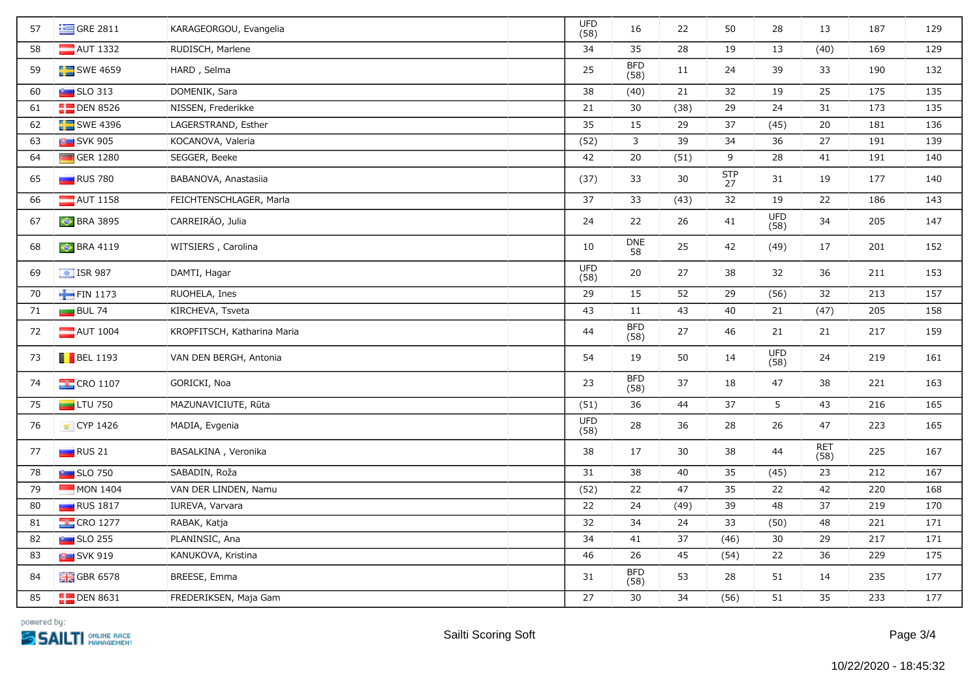| 57 | $\equiv$ GRE 2811       | KARAGEORGOU, Evangelia      | <b>UFD</b><br>(58) | 16                 | 22   | 50               | 28                 | 13                 | 187 | 129 |
|----|-------------------------|-----------------------------|--------------------|--------------------|------|------------------|--------------------|--------------------|-----|-----|
| 58 | AUT 1332                | RUDISCH, Marlene            | 34                 | 35                 | 28   | 19               | 13                 | (40)               | 169 | 129 |
| 59 | $SWE$ 4659              | HĂRD, Selma                 | 25                 | <b>BFD</b><br>(58) | 11   | 24               | 39                 | 33                 | 190 | 132 |
| 60 | $\sim$ SLO 313          | DOMENIK, Sara               | 38                 | (40)               | 21   | 32               | 19                 | 25                 | 175 | 135 |
| 61 | $\Box$ DEN 8526         | NISSEN, Frederikke          | 21                 | 30                 | (38) | 29               | 24                 | 31                 | 173 | 135 |
| 62 | $\Box$ SWE 4396         | LAGERSTRAND, Esther         | 35                 | 15                 | 29   | 37               | (45)               | 20                 | 181 | 136 |
| 63 | <b>B</b> SVK 905        | KOCANOVA, Valeria           | (52)               | 3                  | 39   | 34               | 36                 | 27                 | 191 | 139 |
| 64 | GER 1280                | SEGGER, Beeke               | 42                 | 20                 | (51) | 9                | 28                 | 41                 | 191 | 140 |
| 65 | $\Box$ RUS 780          | BABANOVA, Anastasiia        | (37)               | 33                 | 30   | <b>STP</b><br>27 | 31                 | 19                 | 177 | 140 |
| 66 | $\blacksquare$ AUT 1158 | FEICHTENSCHLAGER, Marla     | 37                 | 33                 | (43) | 32               | 19                 | 22                 | 186 | 143 |
| 67 | <b>C</b> BRA 3895       | CARREIRÃO, Julia            | 24                 | 22                 | 26   | 41               | <b>UFD</b><br>(58) | 34                 | 205 | 147 |
| 68 | <b>C</b> BRA 4119       | WITSIERS, Carolina          | 10                 | <b>DNE</b><br>58   | 25   | 42               | (49)               | 17                 | 201 | 152 |
| 69 | $\frac{1}{2}$ ISR 987   | DAMTI, Hagar                | <b>UFD</b><br>(58) | 20                 | 27   | 38               | 32                 | 36                 | 211 | 153 |
| 70 | FIN 1173                | RUOHELA, Ines               | 29                 | 15                 | 52   | 29               | (56)               | 32                 | 213 | 157 |
| 71 | $BUL$ 74                | KIRCHEVA, Tsveta            | 43                 | 11                 | 43   | 40               | 21                 | (47)               | 205 | 158 |
| 72 | $\blacksquare$ AUT 1004 | KROPFITSCH, Katharina Maria | 44                 | BFD<br>(58)        | 27   | 46               | 21                 | 21                 | 217 | 159 |
| 73 | $\blacksquare$ BEL 1193 | VAN DEN BERGH, Antonia      | 54                 | 19                 | 50   | 14               | <b>UFD</b><br>(58) | 24                 | 219 | 161 |
| 74 | $\frac{1}{2}$ CRO 1107  | GORIČKI, Noa                | 23                 | BFD<br>(58)        | 37   | 18               | 47                 | 38                 | 221 | 163 |
| 75 | $LTU$ 750               | MAŻUNAVIĆIUTĖ, Rūta         | (51)               | 36                 | 44   | 37               | 5                  | 43                 | 216 | 165 |
| 76 | ■ CYP 1426              | MADIA, Evgenia              | <b>UFD</b><br>(58) | 28                 | 36   | 28               | 26                 | 47                 | 223 | 165 |
| 77 | $\Box$ RUS 21           | BASALKINA, Veronika         | 38                 | 17                 | 30   | 38               | 44                 | <b>RET</b><br>(58) | 225 | 167 |
| 78 | <b>But SLO 750</b>      | SABADIN, Roža               | 31                 | 38                 | 40   | 35               | (45)               | 23                 | 212 | 167 |
| 79 | MON 1404                | VAN DER LINDEN, Namu        | (52)               | 22                 | 47   | 35               | 22                 | 42                 | 220 | 168 |
| 80 | <b>RUS</b> 1817         | IUREVA, Varvara             | 22                 | 24                 | (49) | 39               | 48                 | 37                 | 219 | 170 |
| 81 | <b>EX</b> CRO 1277      | RABAK, Katja                | 32                 | 34                 | 24   | 33               | (50)               | 48                 | 221 | 171 |
| 82 | $\sim$ SLO 255          | PLANINSIC, Ana              | 34                 | 41                 | 37   | (46)             | 30                 | 29                 | 217 | 171 |
| 83 | <b>B</b> SVK 919        | KANUKOVA, Kristina          | 46                 | 26                 | 45   | (54)             | 22                 | 36                 | 229 | 175 |
| 84 | $\frac{1}{26}$ GBR 6578 | BREESE, Emma                | 31                 | <b>BFD</b><br>(58) | 53   | 28               | 51                 | 14                 | 235 | 177 |
| 85 | $\Box$ DEN 8631         | FREDERIKSEN, Maja Gam       | 27                 | 30                 | 34   | (56)             | 51                 | 35                 | 233 | 177 |